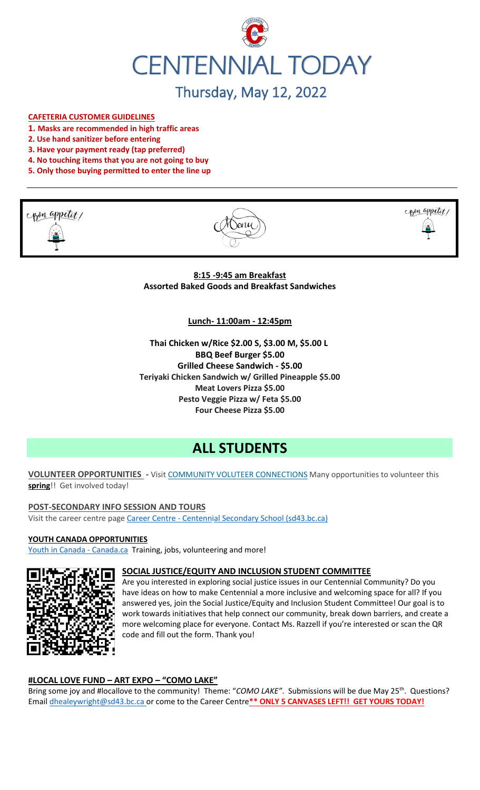

# Thursday, May 12, 2022

#### **CAFETERIA CUSTOMER GUIDELINES**

- **1. Masks are recommended in high traffic areas**
- **2. Use hand sanitizer before entering**
- **3. Have your payment ready (tap preferred)**
- **4. No touching items that you are not going to buy**
- **5. Only those buying permitted to enter the line up**







**8:15 -9:45 am Breakfast Assorted Baked Goods and Breakfast Sandwiches**

**Lunch- 11:00am - 12:45pm**

**Thai Chicken w/Rice \$2.00 S, \$3.00 M, \$5.00 L BBQ Beef Burger \$5.00 Grilled Cheese Sandwich - \$5.00 Teriyaki Chicken Sandwich w/ Grilled Pineapple \$5.00 Meat Lovers Pizza \$5.00 Pesto Veggie Pizza w/ Feta \$5.00 Four Cheese Pizza \$5.00**

# **ALL STUDENTS**

**VOLUNTEER OPPORTUNITIES -** Visit [COMMUNITY VOLUTEER CONNECTIONS](http://cvc.bcvolunteer.ca/?utm_medium=email&_hsmi=212053802&_hsenc=p2ANqtz-9C8dpzKk2EMx5WaRlcu1rFP2YEXC5VAFvsOvn5_wxMc57Cdw3Mh5OQLY2UlP06JDrovG2rZ7VwFdjY3Ko2dQzZDqra3w&utm_content=212053802&utm_source=hs_email) Many opportunities to volunteer this **spring**!! Get involved today!

**POST-SECONDARY INFO SESSION AND TOURS** Visit the career centre page Career Centre - [Centennial Secondary School \(sd43.bc.ca\)](https://www.sd43.bc.ca/school/centennial/ProgramsServices/CareerCentre/postsecondary/Pages/default.aspx#/=)

**YOUTH CANADA OPPORTUNITIES**

[Youth in Canada -](https://www.canada.ca/en/services/youth.html) Canada.ca Training, jobs, volunteering and more!



#### **SOCIAL JUSTICE/EQUITY AND INCLUSION STUDENT COMMITTEE**

Are you interested in exploring social justice issues in our Centennial Community? Do you have ideas on how to make Centennial a more inclusive and welcoming space for all? If you answered yes, join the Social Justice/Equity and Inclusion Student Committee! Our goal is to work towards initiatives that help connect our community, break down barriers, and create a more welcoming place for everyone. Contact Ms. Razzell if you're interested or scan the QR code and fill out the form. Thank you!

#### **#LOCAL LOVE FUND – ART EXPO – "COMO LAKE"**

Bring some joy and #locallove to the community! Theme: "COMO LAKE". Submissions will be due May 25<sup>th</sup>. Questions? Email [dhealeywright@sd43.bc.ca](mailto:dhealeywright@sd43.bc.ca) or come to the Career Centre**\*\* ONLY 5 CANVASES LEFT!! GET YOURS TODAY!**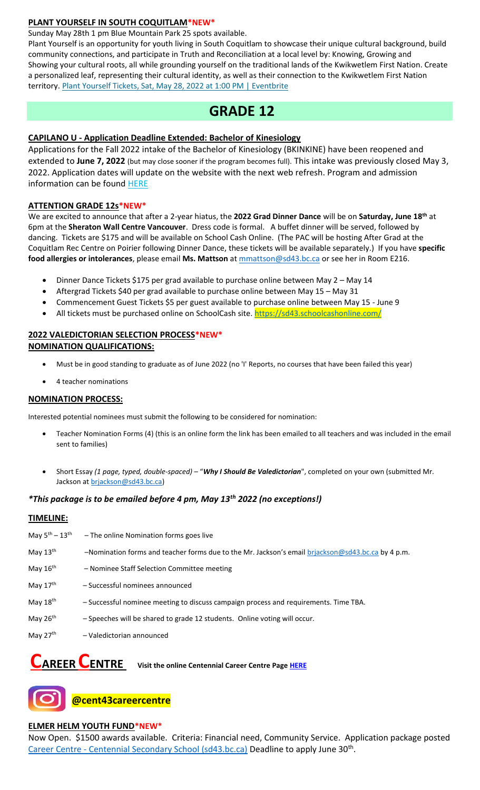#### **PLANT YOURSELF IN SOUTH COQUITLAM\*NEW\***

Sunday May 28th 1 pm Blue Mountain Park 25 spots available.

Plant Yourself is an opportunity for youth living in South Coquitlam to showcase their unique cultural background, build community connections, and participate in Truth and Reconciliation at a local level by: Knowing, Growing and Showing your cultural roots, all while grounding yourself on the traditional lands of the Kwikwetlem First Nation. Create a personalized leaf, representing their cultural identity, as well as their connection to the Kwikwetlem First Nation territory. [Plant Yourself Tickets, Sat, May 28, 2022 at 1:00 PM | Eventbrite](https://www.eventbrite.ca/e/plant-yourself-tickets-335607159047)

# **GRADE 12**

## **CAPILANO U - Application Deadline Extended: Bachelor of Kinesiology**

Applications for the Fall 2022 intake of the Bachelor of Kinesiology (BKINKINE) have been reopened and extended to **June 7, 2022** (but may close sooner if the program becomes full). This intake was previously closed May 3, 2022. Application dates will update on the website with the next web refresh. Program and admission information can be found [HERE](https://r20.rs6.net/tn.jsp?f=001SUzFX9y6x_DZ8u1ILhrZoR561QI7ko-glqLZ3NGKEFYDiPkHhwaQO5hadoW4JFVrApBljFLx0BCplok2Va4m_w32cW5s6kD5qv8NykZgy9Zo72NK3zwzReaGpUNNGz3GRbVeQAJCqhUivMUWEW1rI3-OAq6I8DoKzJOqbnBGczpT3WvMJ8WdqqH5YzRx_ltcjN6YI1_AoMBQ78y5WnWPt6b6a38aSrIOtAeTudxClJQPgYbTky18V93Bm4ygG_m5VH6MYk12RIgavzLTCSojuA==&c=3pWigr51xerjgpsJQfV7gCmLcs4LPkC7OicqYYgjmVJbku7DyMgbQA==&ch=xtJxjTAWGbsUBfCzEiIL8P3QkU5CEUWkteH7aJ3afKtmbmqCWhD_Rg==)

#### **ATTENTION GRADE 12s\*NEW\***

We are excited to announce that after a 2-year hiatus, the **2022 Grad Dinner Dance** will be on **Saturday, June 18 th** at 6pm at the **Sheraton Wall Centre Vancouver**. Dress code is formal. A buffet dinner will be served, followed by dancing. Tickets are \$175 and will be available on School Cash Online. (The PAC will be hosting After Grad at the Coquitlam Rec Centre on Poirier following Dinner Dance, these tickets will be available separately.) If you have **specific food allergies or intolerances**, please email **Ms. Mattson** at [mmattson@sd43.bc.ca](mailto:mmattson@sd43.bc.ca) or see her in Room E216.

- Dinner Dance Tickets \$175 per grad available to purchase online between May 2 May 14
- Aftergrad Tickets \$40 per grad available to purchase online between May 15 May 31
- Commencement Guest Tickets \$5 per guest available to purchase online between May 15 June 9
- All tickets must be purchased online on SchoolCash site. <https://sd43.schoolcashonline.com/>

#### **2022 VALEDICTORIAN SELECTION PROCESS\*NEW\* NOMINATION QUALIFICATIONS:**

- Must be in good standing to graduate as of June 2022 (no 'I' Reports, no courses that have been failed this year)
- 4 teacher nominations

#### **NOMINATION PROCESS:**

Interested potential nominees must submit the following to be considered for nomination:

- Teacher Nomination Forms (4) (this is an online form the link has been emailed to all teachers and was included in the email sent to families)
- Short Essay *(1 page, typed, double-spaced)* "*Why I Should Be Valedictorian*", completed on your own (submitted Mr. Jackson at [brjackson@sd43.bc.ca\)](mailto:bking@sd43.bc.ca)

# *\*This package is to be emailed before 4 pm, May 13th 2022 (no exceptions!)*

#### **TIMELINE:**

| May $5^{\text{th}} - 13^{\text{th}}$ | - The online Nomination forms goes live                                                           |
|--------------------------------------|---------------------------------------------------------------------------------------------------|
| May 13 <sup>th</sup>                 | -Nomination forms and teacher forms due to the Mr. Jackson's email briackson@sd43.bc.ca by 4 p.m. |
| May 16th                             | - Nominee Staff Selection Committee meeting                                                       |
| May 17th                             | - Successful nominees announced                                                                   |
| May 18th                             | - Successful nominee meeting to discuss campaign process and requirements. Time TBA.              |
| May 26 <sup>th</sup>                 | - Speeches will be shared to grade 12 students. Online voting will occur.                         |
| May 27th                             | - Valedictorian announced                                                                         |

# **CAREER CENTRE Visit the online Centennial Career Centre Pag[e HERE](https://www.sd43.bc.ca/school/centennial/ProgramsServices/CareerCentre/experiences/Pages/default.aspx#/=)**



**@cent43careercentre** 

#### **ELMER HELM YOUTH FUND\*NEW\***

Now Open. \$1500 awards available. Criteria: Financial need, Community Service. Application package posted Career Centre - [Centennial Secondary School \(sd43.bc.ca\)](https://www.sd43.bc.ca/school/centennial/ProgramsServices/CareerCentre/financeawards/Pages/default.aspx?InitialTabId=Ribbon%2ERead&VisibilityContext=WSSTabPersistence#/=#InplviewHash02f87063-69d3-4710-8d10-63ddea64e857=) Deadline to apply June 30<sup>th</sup>.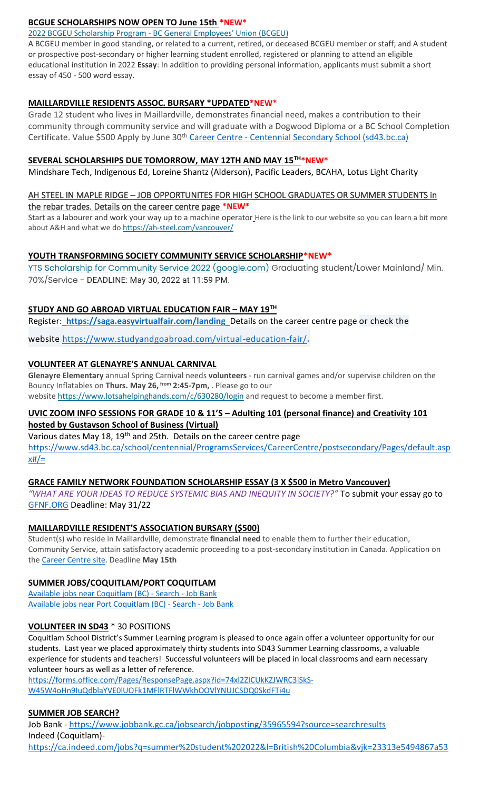## **BCGUE SCHOLARSHIPS NOW OPEN TO June 15th \*NEW\***

#### 2022 BCGEU Scholarship Program - [BC General Employees' Union \(BCGEU\)](https://www.bcgeu.ca/2022_bcgeu_scholarship_program)

A BCGEU member in good standing, or related to a current, retired, or deceased BCGEU member or staff; and A student or prospective post-secondary or higher learning student enrolled, registered or planning to attend an eligible educational institution in 2022 **Essay**: In addition to providing personal information, applicants must submit a short essay of 450 - 500 word essay.

#### **MAILLARDVILLE RESIDENTS ASSOC. BURSARY \*UPDATED\*NEW\***

Grade 12 student who lives in Maillardville, demonstrates financial need, makes a contribution to their community through community service and will graduate with a Dogwood Diploma or a BC School Completion Certificate. Value \$500 Apply by June 30<sup>th</sup> Career Centre - [Centennial Secondary School \(sd43.bc.ca\)](https://www.sd43.bc.ca/school/centennial/ProgramsServices/CareerCentre/financeawards/Pages/default.aspx?login=-73147025#/=)

#### **SEVERAL SCHOLARSHIPS DUE TOMORROW, MAY 12TH AND MAY 15TH\*NEW\***

Mindshare Tech, Indigenous Ed, Loreine Shantz (Alderson), Pacific Leaders, BCAHA, Lotus Light Charity

#### AH STEEL IN MAPLE RIDGE – JOB OPPORTUNITES FOR HIGH SCHOOL GRADUATES OR SUMMER STUDENTS in the rebar trades. Details on the career centre page **\*NEW\***

Start as a labourer and work your way up to a machine operator Here is the link to our website so you can learn a bit more about A&H and what we do <https://ah-steel.com/vancouver/>

#### **YOUTH TRANSFORMING SOCIETY COMMUNITY SERVICE SCHOLARSHIP\*NEW\***

[YTS Scholarship for Community Service 2022 \(google.com\)](https://docs.google.com/forms/d/e/1FAIpQLSeQZEWFkQlGBaklvqyoo4-r4lqu0HoIY_y418VNZeULfBFXIQ/viewform) Graduating student/Lower Mainland/ Min. 70%/Service - DEADLINE: May 30, 2022 at 11:59 PM.

# **STUDY AND GO ABROAD VIRTUAL EDUCATION FAIR – MAY 19TH**

Register: **<https://saga.easyvirtualfair.com/landing>** Details on the career centre page or check the

website <https://www.studyandgoabroad.com/virtual-education-fair/>.

#### **VOLUNTEER AT GLENAYRE'S ANNUAL CARNIVAL**

**Glenayre Elementary** annual Spring Carnival needs **volunteers** - run carnival games and/or supervise children on the Bouncy Inflatables on **Thurs. May 26, from 2:45-7pm,** . Please go to our website <https://www.lotsahelpinghands.com/c/630280/login> and request to become a member first.

# **UVIC ZOOM INFO SESSIONS FOR GRADE 10 & 11'S – Adulting 101 (personal finance) and Creativity 101 hosted by Gustavson School of Business (Virtual)**

Various dates May 18, 19<sup>th</sup> and 25th. Details on the career centre page [https://www.sd43.bc.ca/school/centennial/ProgramsServices/CareerCentre/postsecondary/Pages/default.asp](https://www.sd43.bc.ca/school/centennial/ProgramsServices/CareerCentre/postsecondary/Pages/default.aspx#/=)  $x#/=$ 

# **GRACE FAMILY NETWORK FOUNDATION SCHOLARSHIP ESSAY (3 X \$500 in Metro Vancouver)**

*"WHAT ARE YOUR IDEAS TO REDUCE SYSTEMIC BIAS AND INEQUITY IN SOCIETY?"* To submit your essay go to [GFNF.ORG](http://www.gfnf.org/) Deadline: May 31/22

# **MAILLARDVILLE RESIDENT'S ASSOCIATION BURSARY (\$500)**

Student(s) who reside in Maillardville, demonstrate **financial need** to enable them to further their education, Community Service, attain satisfactory academic proceeding to a post-secondary institution in Canada. Application on the [Career Centre site.](https://www.sd43.bc.ca/school/centennial/ProgramsServices/CareerCentre/financeawards/Pages/default.aspx#/=) Deadline **May 15th**

#### **SUMMER JOBS/COQUITLAM/PORT COQUITLAM**

[Available jobs near Coquitlam \(BC\) -](https://www.jobbank.gc.ca/jobsearch/jobsearch?fsrc=21&searchstring=&locationstring=COQUITLAM&mid=&button.submit=Search) Search - Job Bank [Available jobs near Port Coquitlam \(BC\) -](https://www.jobbank.gc.ca/jobsearch/jobsearch?searchstring=&locationstring=Port+Coquitlam%2C+BC&fsrc=21) Search - Job Bank

#### **VOLUNTEER IN SD43** \* 30 POSITIONS

Coquitlam School District's Summer Learning program is pleased to once again offer a volunteer opportunity for our students. Last year we placed approximately thirty students into SD43 Summer Learning classrooms, a valuable experience for students and teachers! Successful volunteers will be placed in local classrooms and earn necessary volunteer hours as well as a letter of reference.

[https://forms.office.com/Pages/ResponsePage.aspx?id=74xl2ZICUkKZJWRC3iSkS-](https://forms.office.com/Pages/ResponsePage.aspx?id=74xl2ZICUkKZJWRC3iSkS-W45W4oHn9IuQdblaYVE0lUOFk1MFlRTFlWWkhOOVlYNUJCSDQ0SkdFTi4u)[W45W4oHn9IuQdblaYVE0lUOFk1MFlRTFlWWkhOOVlYNUJCSDQ0SkdFTi4u](https://forms.office.com/Pages/ResponsePage.aspx?id=74xl2ZICUkKZJWRC3iSkS-W45W4oHn9IuQdblaYVE0lUOFk1MFlRTFlWWkhOOVlYNUJCSDQ0SkdFTi4u)

# **SUMMER JOB SEARCH?**

Job Bank - <https://www.jobbank.gc.ca/jobsearch/jobposting/35965594?source=searchresults> Indeed (Coquitlam) <https://ca.indeed.com/jobs?q=summer%20student%202022&l=British%20Columbia&vjk=23313e5494867a53>